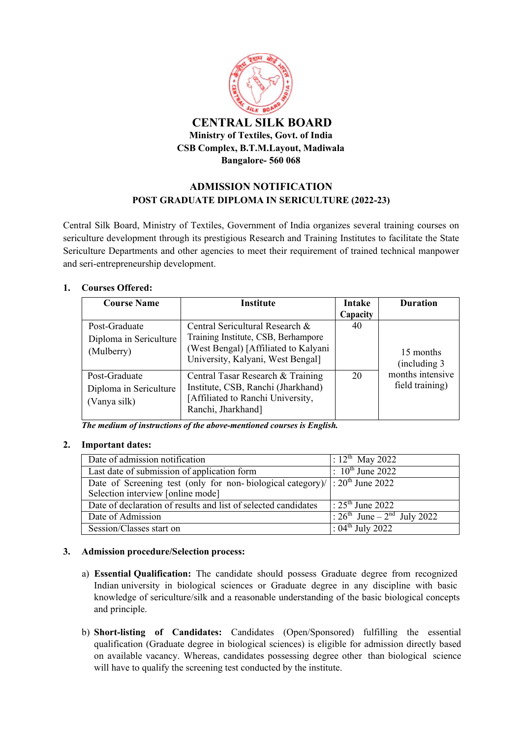

### **ADMISSION NOTIFICATION POST GRADUATE DIPLOMA IN SERICULTURE (2022-23)**

Central Silk Board, Ministry of Textiles, Government of India organizes several training courses on sericulture development through its prestigious Research and Training Institutes to facilitate the State Sericulture Departments and other agencies to meet their requirement of trained technical manpower and seri-entrepreneurship development.

#### **1. Courses Offered:**

| <b>Course Name</b>                                      | <b>Institute</b>                                                                                                                                    | Intake   | <b>Duration</b>                     |  |
|---------------------------------------------------------|-----------------------------------------------------------------------------------------------------------------------------------------------------|----------|-------------------------------------|--|
|                                                         |                                                                                                                                                     | Capacity |                                     |  |
| Post-Graduate<br>Diploma in Sericulture<br>(Mulberry)   | Central Sericultural Research &<br>Training Institute, CSB, Berhampore<br>(West Bengal) [Affiliated to Kalyani<br>University, Kalyani, West Bengal] | 40       | 15 months<br>(including 3)          |  |
| Post-Graduate<br>Diploma in Sericulture<br>(Vanya silk) | Central Tasar Research & Training<br>Institute, CSB, Ranchi (Jharkhand)<br>[Affiliated to Ranchi University,<br>Ranchi, Jharkhand]                  | 20       | months intensive<br>field training) |  |

*The medium of instructions of the above-mentioned courses is English.*

#### **2. Important dates:**

| Date of admission notification                                                 | : $12^{th}$ May 2022                                           |
|--------------------------------------------------------------------------------|----------------------------------------------------------------|
| Last date of submission of application form                                    | : $10^{th}$ June 2022                                          |
| Date of Screening test (only for non-biological category)/ $ : 20th$ June 2022 |                                                                |
| Selection interview [online mode]                                              |                                                                |
| Date of declaration of results and list of selected candidates                 | $\cdot$ 25 <sup>th</sup> June 2022                             |
| Date of Admission                                                              | $\therefore$ 26 <sup>th</sup> June – 2 <sup>nd</sup> July 2022 |
| Session/Classes start on                                                       | : $04^{\text{th}}$ July 2022                                   |

#### **3. Admission procedure/Selection process:**

- a) **Essential Qualification:** The candidate should possess Graduate degree from recognized Indian university in biological sciences or Graduate degree in any discipline with basic knowledge of sericulture/silk and a reasonable understanding of the basic biological concepts and principle.
- b) **Short-listing of Candidates:** Candidates (Open/Sponsored) fulfilling the essential qualification (Graduate degree in biological sciences) is eligible for admission directly based on available vacancy. Whereas, candidates possessing degree other than biological science will have to qualify the screening test conducted by the institute.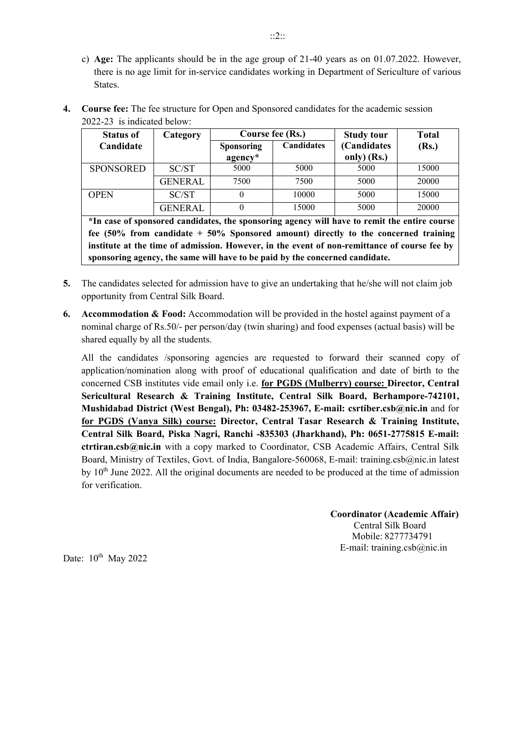c) **Age:** The applicants should be in the age group of 21-40 years as on 01.07.2022. However, there is no age limit for in-service candidates working in Department of Sericulture of various States.

| <b>Status of</b> | Category       | Course fee (Rs.)             |                   | <b>Study tour</b>          | <b>Total</b> |  |
|------------------|----------------|------------------------------|-------------------|----------------------------|--------------|--|
| Candidate        |                | <b>Sponsoring</b><br>agency* | <b>Candidates</b> | (Candidates<br>only) (Rs.) | (Rs.)        |  |
| <b>SPONSORED</b> | SC/ST          | 5000                         | 5000              | 5000                       | 15000        |  |
|                  | <b>GENERAL</b> | 7500                         | 7500              | 5000                       | 20000        |  |
| <b>OPEN</b>      | SC/ST          |                              | 10000             | 5000                       | 15000        |  |
|                  | <b>GENERAL</b> |                              | 15000             | 5000                       | 20000        |  |

**4. Course fee:** The fee structure for Open and Sponsored candidates for the academic session 2022-23 is indicated below:

**\*In case of sponsored candidates, the sponsoring agency will have to remit the entire course fee (50% from candidate + 50% Sponsored amount) directly to the concerned training institute at the time of admission. However, in the event of non-remittance of course fee by sponsoring agency, the same will have to be paid by the concerned candidate.**

- **5.** The candidates selected for admission have to give an undertaking that he/she will not claim job opportunity from Central Silk Board.
- **6. Accommodation & Food:** Accommodation will be provided in the hostel against payment of a nominal charge of Rs.50/- per person/day (twin sharing) and food expenses (actual basis) will be shared equally by all the students.

All the candidates /sponsoring agencies are requested to forward their scanned copy of application/nomination along with proof of educational qualification and date of birth to the concerned CSB institutes vide email only i.e. **for PGDS (Mulberry) course: Director, Central Sericultural Research & Training Institute, Central Silk Board, Berhampore-742101, Mushidabad District (West Bengal), Ph: 03482-253967, E-mail: [csrtiber.csb@nic.in](mailto:csrtiber.csb@nic.in)** and for **for PGDS (Vanya Silk) course: Director, Central Tasar Research & Training Institute, Central Silk Board, Piska Nagri, Ranchi -835303 (Jharkhand), Ph: 0651-2775815 E-mail: [ctrtiran.csb@nic.in](mailto:ctrtiran.csb@nic.in)** with a copy marked to Coordinator, CSB Academic Affairs, Central Silk Board, Ministry of Textiles, Govt. of India, Bangalore-560068, E-mail: [training.csb@nic.in l](mailto:training.csb@nic.in)atest by  $10<sup>th</sup>$  June 2022. All the original documents are needed to be produced at the time of admission for verification.

> **Coordinator (Academic Affair)**  Central Silk Board Mobile: 8277734791 E-mail: training.csb $@$ nic.in

Date:  $10^{th}$  May 2022